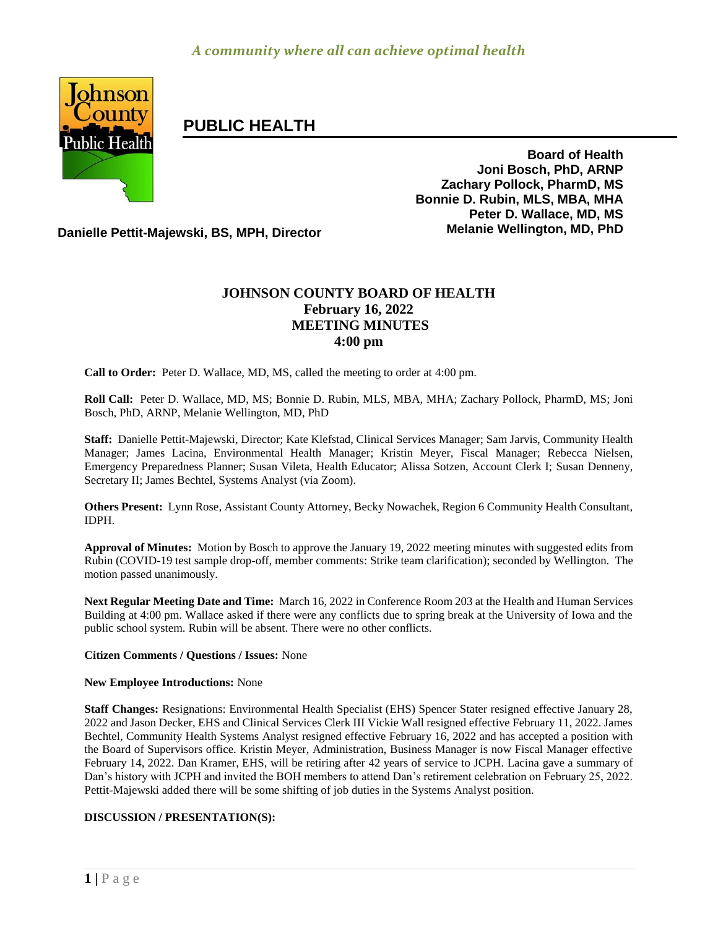

# **PUBLIC HEALTH**

**Board of Health Joni Bosch, PhD, ARNP Zachary Pollock, PharmD, MS Bonnie D. Rubin, MLS, MBA, MHA Peter D. Wallace, MD, MS**

**Danielle Pettit-Majewski, BS, MPH, Director Melanie Wellington, MD, PhD**

# **JOHNSON COUNTY BOARD OF HEALTH February 16, 2022 MEETING MINUTES 4:00 pm**

**Call to Order:** Peter D. Wallace, MD, MS, called the meeting to order at 4:00 pm.

**Roll Call:** Peter D. Wallace, MD, MS; Bonnie D. Rubin, MLS, MBA, MHA; Zachary Pollock, PharmD, MS; Joni Bosch, PhD, ARNP, Melanie Wellington, MD, PhD

**Staff:** Danielle Pettit-Majewski, Director; Kate Klefstad, Clinical Services Manager; Sam Jarvis, Community Health Manager; James Lacina, Environmental Health Manager; Kristin Meyer, Fiscal Manager; Rebecca Nielsen, Emergency Preparedness Planner; Susan Vileta, Health Educator; Alissa Sotzen, Account Clerk I; Susan Denneny, Secretary II; James Bechtel, Systems Analyst (via Zoom).

**Others Present:** Lynn Rose, Assistant County Attorney, Becky Nowachek, Region 6 Community Health Consultant, IDPH.

**Approval of Minutes:** Motion by Bosch to approve the January 19, 2022 meeting minutes with suggested edits from Rubin (COVID-19 test sample drop-off, member comments: Strike team clarification); seconded by Wellington. The motion passed unanimously.

**Next Regular Meeting Date and Time:** March 16, 2022 in Conference Room 203 at the Health and Human Services Building at 4:00 pm. Wallace asked if there were any conflicts due to spring break at the University of Iowa and the public school system. Rubin will be absent. There were no other conflicts.

# **Citizen Comments / Questions / Issues:** None

#### **New Employee Introductions:** None

**Staff Changes:** Resignations: Environmental Health Specialist (EHS) Spencer Stater resigned effective January 28, 2022 and Jason Decker, EHS and Clinical Services Clerk III Vickie Wall resigned effective February 11, 2022. James Bechtel, Community Health Systems Analyst resigned effective February 16, 2022 and has accepted a position with the Board of Supervisors office. Kristin Meyer, Administration, Business Manager is now Fiscal Manager effective February 14, 2022. Dan Kramer, EHS, will be retiring after 42 years of service to JCPH. Lacina gave a summary of Dan's history with JCPH and invited the BOH members to attend Dan's retirement celebration on February 25, 2022. Pettit-Majewski added there will be some shifting of job duties in the Systems Analyst position.

#### **DISCUSSION / PRESENTATION(S):**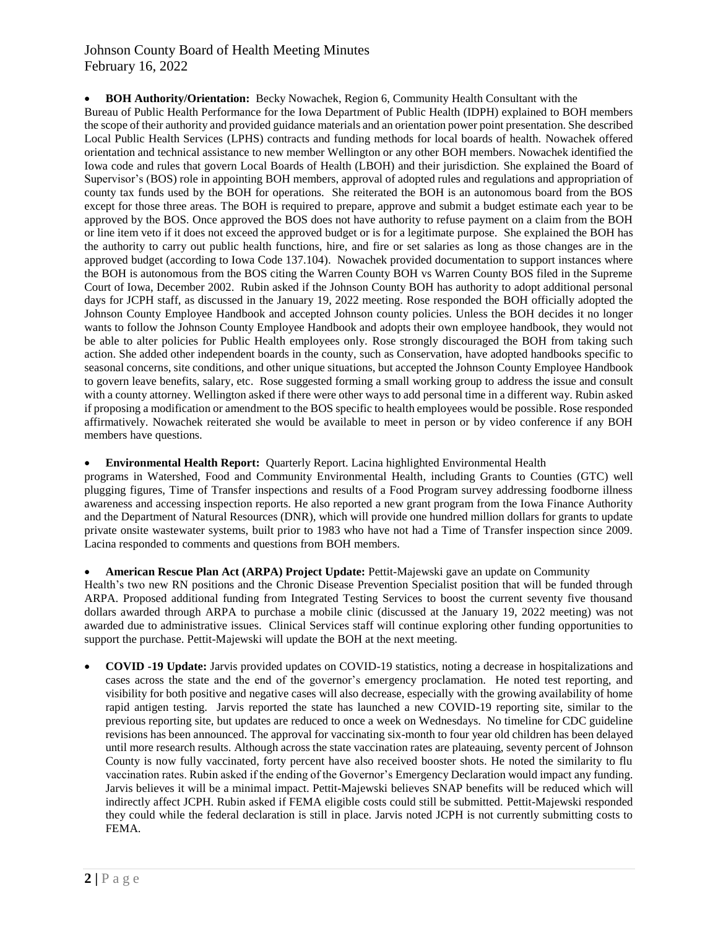# Johnson County Board of Health Meeting Minutes February 16, 2022

# **BOH Authority/Orientation:** Becky Nowachek, Region 6, Community Health Consultant with the

Bureau of Public Health Performance for the Iowa Department of Public Health (IDPH) explained to BOH members the scope of their authority and provided guidance materials and an orientation power point presentation. She described Local Public Health Services (LPHS) contracts and funding methods for local boards of health. Nowachek offered orientation and technical assistance to new member Wellington or any other BOH members. Nowachek identified the Iowa code and rules that govern Local Boards of Health (LBOH) and their jurisdiction. She explained the Board of Supervisor's (BOS) role in appointing BOH members, approval of adopted rules and regulations and appropriation of county tax funds used by the BOH for operations. She reiterated the BOH is an autonomous board from the BOS except for those three areas. The BOH is required to prepare, approve and submit a budget estimate each year to be approved by the BOS. Once approved the BOS does not have authority to refuse payment on a claim from the BOH or line item veto if it does not exceed the approved budget or is for a legitimate purpose. She explained the BOH has the authority to carry out public health functions, hire, and fire or set salaries as long as those changes are in the approved budget (according to Iowa Code 137.104). Nowachek provided documentation to support instances where the BOH is autonomous from the BOS citing the Warren County BOH vs Warren County BOS filed in the Supreme Court of Iowa, December 2002. Rubin asked if the Johnson County BOH has authority to adopt additional personal days for JCPH staff, as discussed in the January 19, 2022 meeting. Rose responded the BOH officially adopted the Johnson County Employee Handbook and accepted Johnson county policies. Unless the BOH decides it no longer wants to follow the Johnson County Employee Handbook and adopts their own employee handbook, they would not be able to alter policies for Public Health employees only. Rose strongly discouraged the BOH from taking such action. She added other independent boards in the county, such as Conservation, have adopted handbooks specific to seasonal concerns, site conditions, and other unique situations, but accepted the Johnson County Employee Handbook to govern leave benefits, salary, etc. Rose suggested forming a small working group to address the issue and consult with a county attorney. Wellington asked if there were other ways to add personal time in a different way. Rubin asked if proposing a modification or amendment to the BOS specific to health employees would be possible. Rose responded affirmatively. Nowachek reiterated she would be available to meet in person or by video conference if any BOH members have questions.

#### **Environmental Health Report:** Quarterly Report. Lacina highlighted Environmental Health

programs in Watershed, Food and Community Environmental Health, including Grants to Counties (GTC) well plugging figures, Time of Transfer inspections and results of a Food Program survey addressing foodborne illness awareness and accessing inspection reports. He also reported a new grant program from the Iowa Finance Authority and the Department of Natural Resources (DNR), which will provide one hundred million dollars for grants to update private onsite wastewater systems, built prior to 1983 who have not had a Time of Transfer inspection since 2009. Lacina responded to comments and questions from BOH members.

#### **American Rescue Plan Act (ARPA) Project Update:** Pettit-Majewski gave an update on Community

Health's two new RN positions and the Chronic Disease Prevention Specialist position that will be funded through ARPA. Proposed additional funding from Integrated Testing Services to boost the current seventy five thousand dollars awarded through ARPA to purchase a mobile clinic (discussed at the January 19, 2022 meeting) was not awarded due to administrative issues. Clinical Services staff will continue exploring other funding opportunities to support the purchase. Pettit-Majewski will update the BOH at the next meeting.

 **COVID -19 Update:** Jarvis provided updates on COVID-19 statistics, noting a decrease in hospitalizations and cases across the state and the end of the governor's emergency proclamation. He noted test reporting, and visibility for both positive and negative cases will also decrease, especially with the growing availability of home rapid antigen testing. Jarvis reported the state has launched a new COVID-19 reporting site, similar to the previous reporting site, but updates are reduced to once a week on Wednesdays. No timeline for CDC guideline revisions has been announced. The approval for vaccinating six-month to four year old children has been delayed until more research results. Although across the state vaccination rates are plateauing, seventy percent of Johnson County is now fully vaccinated, forty percent have also received booster shots. He noted the similarity to flu vaccination rates. Rubin asked if the ending of the Governor's Emergency Declaration would impact any funding. Jarvis believes it will be a minimal impact. Pettit-Majewski believes SNAP benefits will be reduced which will indirectly affect JCPH. Rubin asked if FEMA eligible costs could still be submitted. Pettit-Majewski responded they could while the federal declaration is still in place. Jarvis noted JCPH is not currently submitting costs to FEMA.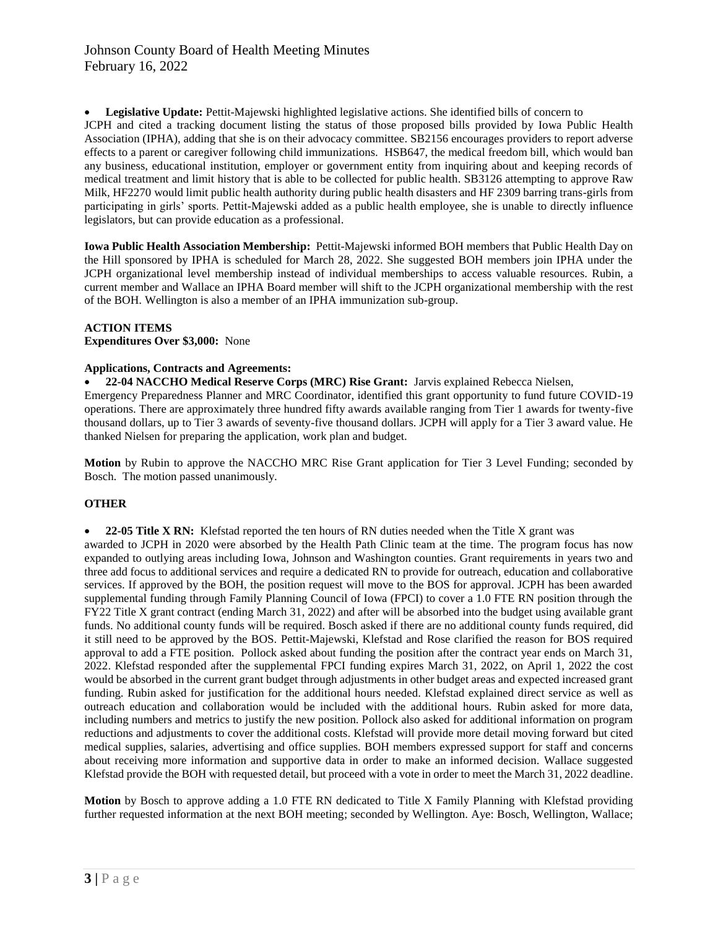**Legislative Update:** Pettit-Majewski highlighted legislative actions. She identified bills of concern to JCPH and cited a tracking document listing the status of those proposed bills provided by Iowa Public Health Association (IPHA), adding that she is on their advocacy committee. SB2156 encourages providers to report adverse effects to a parent or caregiver following child immunizations. HSB647, the medical freedom bill, which would ban any business, educational institution, employer or government entity from inquiring about and keeping records of medical treatment and limit history that is able to be collected for public health. SB3126 attempting to approve Raw Milk, HF2270 would limit public health authority during public health disasters and HF 2309 barring trans-girls from participating in girls' sports. Pettit-Majewski added as a public health employee, she is unable to directly influence legislators, but can provide education as a professional.

**Iowa Public Health Association Membership:** Pettit-Majewski informed BOH members that Public Health Day on the Hill sponsored by IPHA is scheduled for March 28, 2022. She suggested BOH members join IPHA under the JCPH organizational level membership instead of individual memberships to access valuable resources. Rubin, a current member and Wallace an IPHA Board member will shift to the JCPH organizational membership with the rest of the BOH. Wellington is also a member of an IPHA immunization sub-group.

## **ACTION ITEMS**

**Expenditures Over \$3,000:** None

## **Applications, Contracts and Agreements:**

**22-04 NACCHO Medical Reserve Corps (MRC) Rise Grant:** Jarvis explained Rebecca Nielsen,

Emergency Preparedness Planner and MRC Coordinator, identified this grant opportunity to fund future COVID-19 operations. There are approximately three hundred fifty awards available ranging from Tier 1 awards for twenty-five thousand dollars, up to Tier 3 awards of seventy-five thousand dollars. JCPH will apply for a Tier 3 award value. He thanked Nielsen for preparing the application, work plan and budget.

**Motion** by Rubin to approve the NACCHO MRC Rise Grant application for Tier 3 Level Funding; seconded by Bosch. The motion passed unanimously.

# **OTHER**

 **22-05 Title X RN:** Klefstad reported the ten hours of RN duties needed when the Title X grant was awarded to JCPH in 2020 were absorbed by the Health Path Clinic team at the time. The program focus has now expanded to outlying areas including Iowa, Johnson and Washington counties. Grant requirements in years two and

three add focus to additional services and require a dedicated RN to provide for outreach, education and collaborative services. If approved by the BOH, the position request will move to the BOS for approval. JCPH has been awarded supplemental funding through Family Planning Council of Iowa (FPCI) to cover a 1.0 FTE RN position through the FY22 Title X grant contract (ending March 31, 2022) and after will be absorbed into the budget using available grant funds. No additional county funds will be required. Bosch asked if there are no additional county funds required, did it still need to be approved by the BOS. Pettit-Majewski, Klefstad and Rose clarified the reason for BOS required approval to add a FTE position. Pollock asked about funding the position after the contract year ends on March 31, 2022. Klefstad responded after the supplemental FPCI funding expires March 31, 2022, on April 1, 2022 the cost would be absorbed in the current grant budget through adjustments in other budget areas and expected increased grant funding. Rubin asked for justification for the additional hours needed. Klefstad explained direct service as well as outreach education and collaboration would be included with the additional hours. Rubin asked for more data, including numbers and metrics to justify the new position. Pollock also asked for additional information on program reductions and adjustments to cover the additional costs. Klefstad will provide more detail moving forward but cited medical supplies, salaries, advertising and office supplies. BOH members expressed support for staff and concerns about receiving more information and supportive data in order to make an informed decision. Wallace suggested Klefstad provide the BOH with requested detail, but proceed with a vote in order to meet the March 31, 2022 deadline.

**Motion** by Bosch to approve adding a 1.0 FTE RN dedicated to Title X Family Planning with Klefstad providing further requested information at the next BOH meeting; seconded by Wellington. Aye: Bosch, Wellington, Wallace;